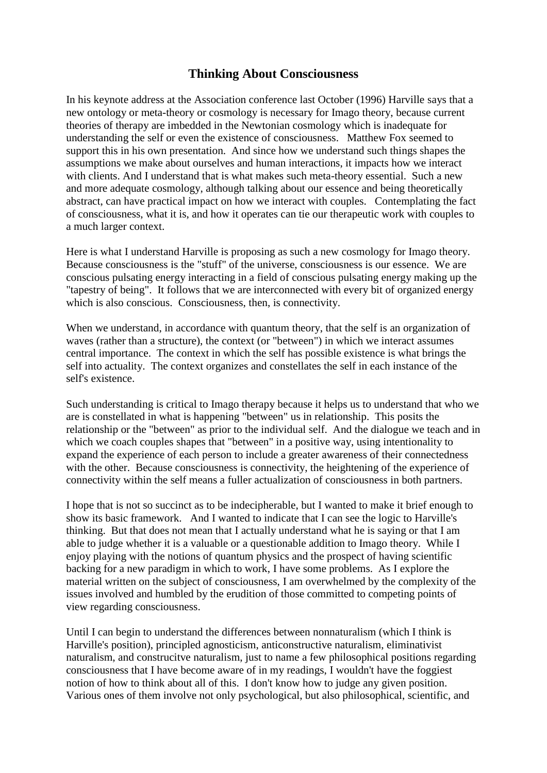## **Thinking About Consciousness**

In his keynote address at the Association conference last October (1996) Harville says that a new ontology or meta-theory or cosmology is necessary for Imago theory, because current theories of therapy are imbedded in the Newtonian cosmology which is inadequate for understanding the self or even the existence of consciousness. Matthew Fox seemed to support this in his own presentation. And since how we understand such things shapes the assumptions we make about ourselves and human interactions, it impacts how we interact with clients. And I understand that is what makes such meta-theory essential. Such a new and more adequate cosmology, although talking about our essence and being theoretically abstract, can have practical impact on how we interact with couples. Contemplating the fact of consciousness, what it is, and how it operates can tie our therapeutic work with couples to a much larger context.

Here is what I understand Harville is proposing as such a new cosmology for Imago theory. Because consciousness is the "stuff" of the universe, consciousness is our essence. We are conscious pulsating energy interacting in a field of conscious pulsating energy making up the "tapestry of being". It follows that we are interconnected with every bit of organized energy which is also conscious. Consciousness, then, is connectivity.

When we understand, in accordance with quantum theory, that the self is an organization of waves (rather than a structure), the context (or "between") in which we interact assumes central importance. The context in which the self has possible existence is what brings the self into actuality. The context organizes and constellates the self in each instance of the self's existence.

Such understanding is critical to Imago therapy because it helps us to understand that who we are is constellated in what is happening "between" us in relationship. This posits the relationship or the "between" as prior to the individual self. And the dialogue we teach and in which we coach couples shapes that "between" in a positive way, using intentionality to expand the experience of each person to include a greater awareness of their connectedness with the other. Because consciousness is connectivity, the heightening of the experience of connectivity within the self means a fuller actualization of consciousness in both partners.

I hope that is not so succinct as to be indecipherable, but I wanted to make it brief enough to show its basic framework. And I wanted to indicate that I can see the logic to Harville's thinking. But that does not mean that I actually understand what he is saying or that I am able to judge whether it is a valuable or a questionable addition to Imago theory. While I enjoy playing with the notions of quantum physics and the prospect of having scientific backing for a new paradigm in which to work, I have some problems. As I explore the material written on the subject of consciousness, I am overwhelmed by the complexity of the issues involved and humbled by the erudition of those committed to competing points of view regarding consciousness.

Until I can begin to understand the differences between nonnaturalism (which I think is Harville's position), principled agnosticism, anticonstructive naturalism, eliminativist naturalism, and construcitve naturalism, just to name a few philosophical positions regarding consciousness that I have become aware of in my readings, I wouldn't have the foggiest notion of how to think about all of this. I don't know how to judge any given position. Various ones of them involve not only psychological, but also philosophical, scientific, and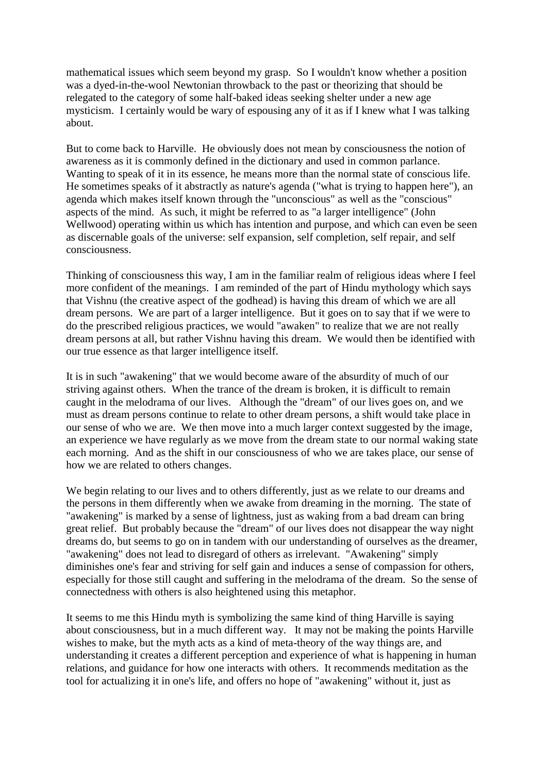mathematical issues which seem beyond my grasp. So I wouldn't know whether a position was a dyed-in-the-wool Newtonian throwback to the past or theorizing that should be relegated to the category of some half-baked ideas seeking shelter under a new age mysticism. I certainly would be wary of espousing any of it as if I knew what I was talking about.

But to come back to Harville. He obviously does not mean by consciousness the notion of awareness as it is commonly defined in the dictionary and used in common parlance. Wanting to speak of it in its essence, he means more than the normal state of conscious life. He sometimes speaks of it abstractly as nature's agenda ("what is trying to happen here"), an agenda which makes itself known through the "unconscious" as well as the "conscious" aspects of the mind. As such, it might be referred to as "a larger intelligence" (John Wellwood) operating within us which has intention and purpose, and which can even be seen as discernable goals of the universe: self expansion, self completion, self repair, and self consciousness.

Thinking of consciousness this way, I am in the familiar realm of religious ideas where I feel more confident of the meanings. I am reminded of the part of Hindu mythology which says that Vishnu (the creative aspect of the godhead) is having this dream of which we are all dream persons. We are part of a larger intelligence. But it goes on to say that if we were to do the prescribed religious practices, we would "awaken" to realize that we are not really dream persons at all, but rather Vishnu having this dream. We would then be identified with our true essence as that larger intelligence itself.

It is in such "awakening" that we would become aware of the absurdity of much of our striving against others. When the trance of the dream is broken, it is difficult to remain caught in the melodrama of our lives. Although the "dream" of our lives goes on, and we must as dream persons continue to relate to other dream persons, a shift would take place in our sense of who we are. We then move into a much larger context suggested by the image, an experience we have regularly as we move from the dream state to our normal waking state each morning. And as the shift in our consciousness of who we are takes place, our sense of how we are related to others changes.

We begin relating to our lives and to others differently, just as we relate to our dreams and the persons in them differently when we awake from dreaming in the morning. The state of "awakening" is marked by a sense of lightness, just as waking from a bad dream can bring great relief. But probably because the "dream" of our lives does not disappear the way night dreams do, but seems to go on in tandem with our understanding of ourselves as the dreamer, "awakening" does not lead to disregard of others as irrelevant. "Awakening" simply diminishes one's fear and striving for self gain and induces a sense of compassion for others, especially for those still caught and suffering in the melodrama of the dream. So the sense of connectedness with others is also heightened using this metaphor.

It seems to me this Hindu myth is symbolizing the same kind of thing Harville is saying about consciousness, but in a much different way. It may not be making the points Harville wishes to make, but the myth acts as a kind of meta-theory of the way things are, and understanding it creates a different perception and experience of what is happening in human relations, and guidance for how one interacts with others. It recommends meditation as the tool for actualizing it in one's life, and offers no hope of "awakening" without it, just as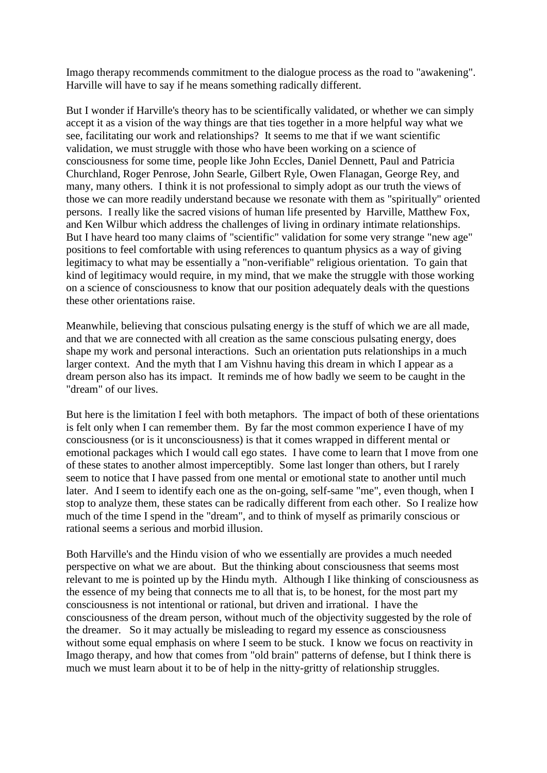Imago therapy recommends commitment to the dialogue process as the road to "awakening". Harville will have to say if he means something radically different.

But I wonder if Harville's theory has to be scientifically validated, or whether we can simply accept it as a vision of the way things are that ties together in a more helpful way what we see, facilitating our work and relationships? It seems to me that if we want scientific validation, we must struggle with those who have been working on a science of consciousness for some time, people like John Eccles, Daniel Dennett, Paul and Patricia Churchland, Roger Penrose, John Searle, Gilbert Ryle, Owen Flanagan, George Rey, and many, many others. I think it is not professional to simply adopt as our truth the views of those we can more readily understand because we resonate with them as "spiritually" oriented persons. I really like the sacred visions of human life presented by Harville, Matthew Fox, and Ken Wilbur which address the challenges of living in ordinary intimate relationships. But I have heard too many claims of "scientific" validation for some very strange "new age" positions to feel comfortable with using references to quantum physics as a way of giving legitimacy to what may be essentially a "non-verifiable" religious orientation. To gain that kind of legitimacy would require, in my mind, that we make the struggle with those working on a science of consciousness to know that our position adequately deals with the questions these other orientations raise.

Meanwhile, believing that conscious pulsating energy is the stuff of which we are all made, and that we are connected with all creation as the same conscious pulsating energy, does shape my work and personal interactions. Such an orientation puts relationships in a much larger context. And the myth that I am Vishnu having this dream in which I appear as a dream person also has its impact. It reminds me of how badly we seem to be caught in the "dream" of our lives.

But here is the limitation I feel with both metaphors. The impact of both of these orientations is felt only when I can remember them. By far the most common experience I have of my consciousness (or is it unconsciousness) is that it comes wrapped in different mental or emotional packages which I would call ego states. I have come to learn that I move from one of these states to another almost imperceptibly. Some last longer than others, but I rarely seem to notice that I have passed from one mental or emotional state to another until much later. And I seem to identify each one as the on-going, self-same "me", even though, when I stop to analyze them, these states can be radically different from each other. So I realize how much of the time I spend in the "dream", and to think of myself as primarily conscious or rational seems a serious and morbid illusion.

Both Harville's and the Hindu vision of who we essentially are provides a much needed perspective on what we are about. But the thinking about consciousness that seems most relevant to me is pointed up by the Hindu myth. Although I like thinking of consciousness as the essence of my being that connects me to all that is, to be honest, for the most part my consciousness is not intentional or rational, but driven and irrational. I have the consciousness of the dream person, without much of the objectivity suggested by the role of the dreamer. So it may actually be misleading to regard my essence as consciousness without some equal emphasis on where I seem to be stuck. I know we focus on reactivity in Imago therapy, and how that comes from "old brain" patterns of defense, but I think there is much we must learn about it to be of help in the nitty-gritty of relationship struggles.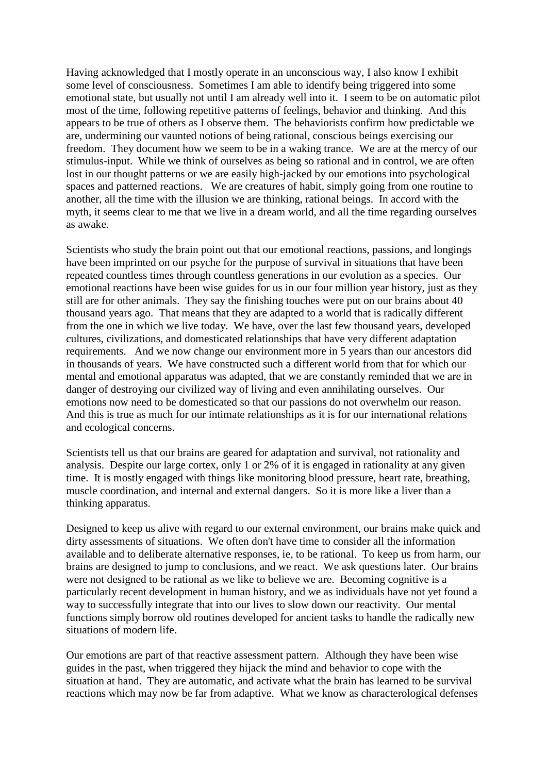Having acknowledged that I mostly operate in an unconscious way, I also know I exhibit some level of consciousness. Sometimes I am able to identify being triggered into some emotional state, but usually not until I am already well into it. I seem to be on automatic pilot most of the time, following repetitive patterns of feelings, behavior and thinking. And this appears to be true of others as I observe them. The behaviorists confirm how predictable we are, undermining our vaunted notions of being rational, conscious beings exercising our freedom. They document how we seem to be in a waking trance. We are at the mercy of our stimulus-input. While we think of ourselves as being so rational and in control, we are often lost in our thought patterns or we are easily high-jacked by our emotions into psychological spaces and patterned reactions. We are creatures of habit, simply going from one routine to another, all the time with the illusion we are thinking, rational beings. In accord with the myth, it seems clear to me that we live in a dream world, and all the time regarding ourselves as awake.

Scientists who study the brain point out that our emotional reactions, passions, and longings have been imprinted on our psyche for the purpose of survival in situations that have been repeated countless times through countless generations in our evolution as a species. Our emotional reactions have been wise guides for us in our four million year history, just as they still are for other animals. They say the finishing touches were put on our brains about 40 thousand years ago. That means that they are adapted to a world that is radically different from the one in which we live today. We have, over the last few thousand years, developed cultures, civilizations, and domesticated relationships that have very different adaptation requirements. And we now change our environment more in 5 years than our ancestors did in thousands of years. We have constructed such a different world from that for which our mental and emotional apparatus was adapted, that we are constantly reminded that we are in danger of destroying our civilized way of living and even annihilating ourselves. Our emotions now need to be domesticated so that our passions do not overwhelm our reason. And this is true as much for our intimate relationships as it is for our international relations and ecological concerns.

Scientists tell us that our brains are geared for adaptation and survival, not rationality and analysis. Despite our large cortex, only 1 or 2% of it is engaged in rationality at any given time. It is mostly engaged with things like monitoring blood pressure, heart rate, breathing, muscle coordination, and internal and external dangers. So it is more like a liver than a thinking apparatus.

Designed to keep us alive with regard to our external environment, our brains make quick and dirty assessments of situations. We often don't have time to consider all the information available and to deliberate alternative responses, ie, to be rational. To keep us from harm, our brains are designed to jump to conclusions, and we react. We ask questions later. Our brains were not designed to be rational as we like to believe we are. Becoming cognitive is a particularly recent development in human history, and we as individuals have not yet found a way to successfully integrate that into our lives to slow down our reactivity. Our mental functions simply borrow old routines developed for ancient tasks to handle the radically new situations of modern life.

Our emotions are part of that reactive assessment pattern. Although they have been wise guides in the past, when triggered they hijack the mind and behavior to cope with the situation at hand. They are automatic, and activate what the brain has learned to be survival reactions which may now be far from adaptive. What we know as characterological defenses